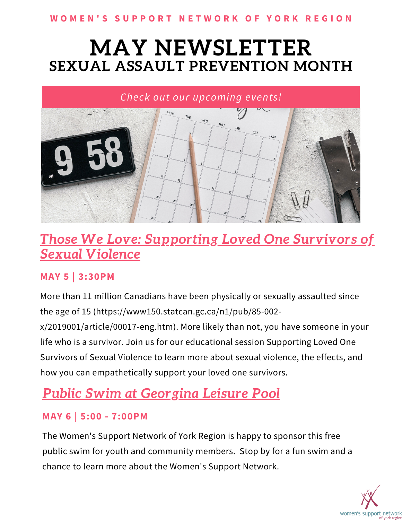#### WOMEN'S SUPPORT NETWORK OF YORK REGION

## **MAY NEWSLETTER SEXUAL ASSAULT PREVENTION MONTH**



## *Those We Love: [Supporting](https://www.eventbrite.ca/e/324117753927) Loved One Survivors of Sexual Violence*

#### **MAY 5 | 3:30PM**

More than 11 million Canadians have been physically or sexually assaulted since the age of 15 (https://www150.statcan.gc.ca/n1/pub/85-002-

x/2019001/article/00017-eng.htm). More likely than not, you have someone in your life who is a survivor. Join us for our educational session Supporting Loved One Survivors of Sexual Violence to learn more about sexual violence, the effects, and how you can empathetically support your loved one survivors.

## *Public Swim at Georgina Leisure Pool*

### **MAY 6 | 5:00 - 7:00PM**

The Women's Support Network of York Region is happy to sponsor this free public swim for youth and community members. Stop by for a fun swim and a chance to learn more about the Women's Support Network.

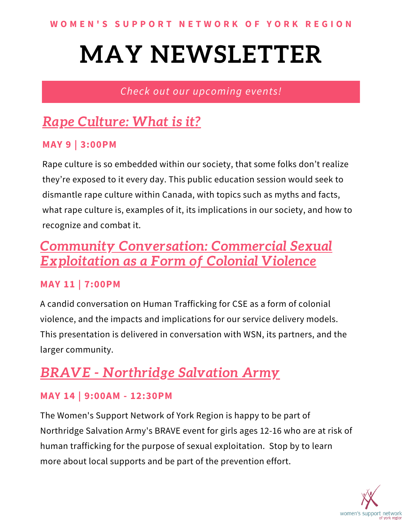### *Check out our upcoming events!*

## *Rape [Culture:](https://www.eventbrite.ca/e/324132146977) What is it?*

#### **MAY 9 | 3:00PM**

Rape culture is so embedded within our society, that some folks don't realize they're exposed to it every day. This public education session would seek to dismantle rape culture within Canada, with topics such as myths and facts, what rape culture is, examples of it, its implications in our society, and how to recognize and combat it.

## *Community [Conversation:](https://www.eventbrite.ca/e/292931625377) Commercial Sexual Exploitation as a Form of Colonial Violence*

### **MAY 11 | 7:00PM**

A candid conversation on Human Trafficking for CSE as a form of colonial violence, and the impacts and implications for our service delivery models. This presentation is delivered in conversation with WSN, its partners, and the larger community.

## *BRAVE - Northridge Salvation Army*

### **MAY 14 | 9:00AM - 12:30PM**

The Women's Support Network of York Region is happy to be part of Northridge Salvation Army's BRAVE event for girls ages 12-16 who are at risk of human trafficking for the purpose of sexual exploitation. Stop by to learn more about local supports and be part of the prevention effort.

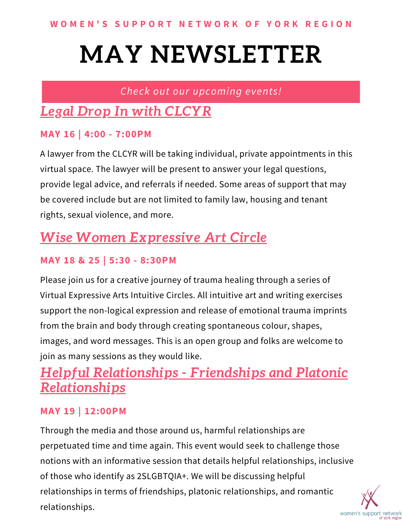### *Check out our upcoming events!*

## *Legal Drop In with [CLCYR](https://www.eventbrite.ca/e/238433028607)*

#### **MAY 16 | 4:00 - 7:00PM**

A lawyer from the CLCYR will be taking individual, private appointments in this virtual space. The lawyer will be present to answer your legal questions, provide legal advice, and referrals if needed. Some areas of support that may be covered include but are not limited to family law, housing and tenant rights, sexual violence, and more.

## *Wise Women Expressive Art Circle*

### **MAY 18 & 25 | 5:30 - 8:30PM**

Please join us for a creative journey of trauma healing through a series of Virtual Expressive Arts Intuitive Circles. All intuitive art and writing exercises support the non-logical expression and release of emotional trauma imprints from the brain and body through creating spontaneous colour, shapes, images, and word messages. This is an open group and folks are welcome to join as many sessions as they would like.

## *Helpful [Relationships](https://www.eventbrite.ca/e/324154614177) - Friendships and Platonic Relationships*

### **MAY 19 | 12:00PM**

Through the media and those around us, harmful relationships are perpetuated time and time again. This event would seek to challenge those notions with an informative session that details helpful relationships, inclusive of those who identify as 2SLGBTQIA+. We will be discussing helpful relationships in terms of friendships, platonic relationships, and romantic relationships. women's support network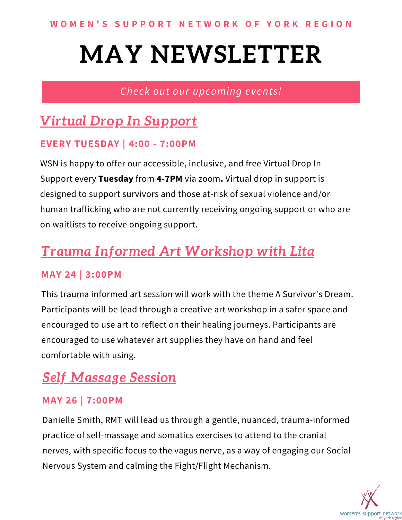### *Check out our upcoming events!*

## *Virtual Drop In [Support](https://www.eventbrite.ca/e/208607950997)*

#### **EVERY TUESDAY | 4:00 - 7:00PM**

WSN is happy to offer our accessible, inclusive, and free Virtual Drop In Support every **Tuesday** from **4-7PM** via zoom**.** Virtual drop in support is designed to support survivors and those at-risk of sexual violence and/or human trafficking who are not currently receiving ongoing support or who are on waitlists to receive ongoing support.

## *Trauma Informed Art Workshop with Lita*

### **MAY 24 | 3:00PM**

This trauma informed art session will work with the theme A Survivor's Dream. Participants will be lead through a creative art workshop in a safer space and encouraged to use art to reflect on their healing journeys. Participants are encouraged to use whatever art supplies they have on hand and feel comfortable with using.

## *Self Massage Session*

### **MAY 26 | 7:00PM**

Danielle Smith, RMT will lead us through a gentle, nuanced, trauma-informed practice of self-massage and somatics exercises to attend to the cranial nerves, with specific focus to the vagus nerve, as a way of engaging our Social Nervous System and calming the Fight/Flight Mechanism.